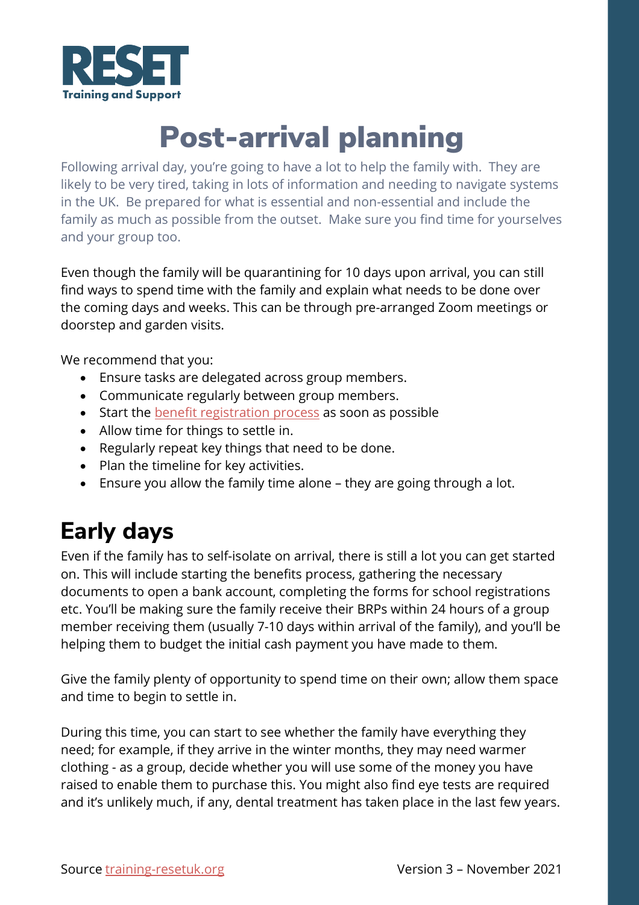

## Post-arrival planning

Following arrival day, you're going to have a lot to help the family with. They are likely to be very tired, taking in lots of information and needing to navigate systems in the UK. Be prepared for what is essential and non-essential and include the family as much as possible from the outset. Make sure you find time for yourselves and your group too.

Even though the family will be quarantining for 10 days upon arrival, you can still find ways to spend time with the family and explain what needs to be done over the coming days and weeks. This can be through pre-arranged Zoom meetings or doorstep and garden visits.

We recommend that you:

- Ensure tasks are delegated across group members.
- Communicate regularly between group members.
- Start the [benefit registration process](https://training-resetuk.org/toolkit/working-with-refugees/learning-about-benefits/introduction-universal-credit) as soon as possible
- Allow time for things to settle in.
- Regularly repeat key things that need to be done.
- Plan the timeline for key activities.
- Ensure you allow the family time alone they are going through a lot.

## **Early days**

Even if the family has to self-isolate on arrival, there is still a lot you can get started on. This will include starting the benefits process, gathering the necessary documents to open a bank account, completing the forms for school registrations etc. You'll be making sure the family receive their BRPs within 24 hours of a group member receiving them (usually 7-10 days within arrival of the family), and you'll be helping them to budget the initial cash payment you have made to them.

Give the family plenty of opportunity to spend time on their own; allow them space and time to begin to settle in.

During this time, you can start to see whether the family have everything they need; for example, if they arrive in the winter months, they may need warmer clothing - as a group, decide whether you will use some of the money you have raised to enable them to purchase this. You might also find eye tests are required and it's unlikely much, if any, dental treatment has taken place in the last few years.